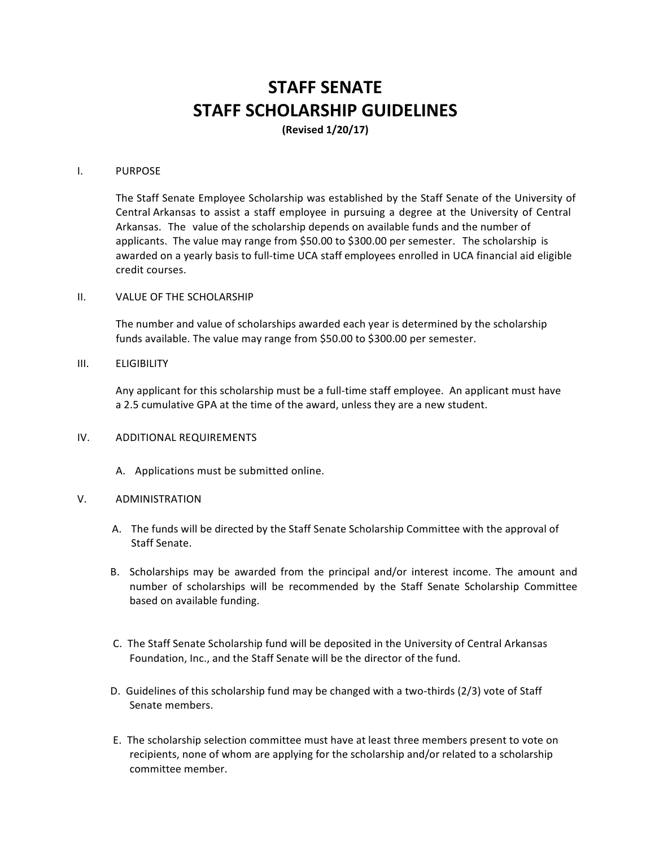# **STAFF SENATE STAFF SCHOLARSHIP GUIDELINES**

**(Revised 1/20/17)**

#### I. PURPOSE

The Staff Senate Employee Scholarship was established by the Staff Senate of the University of Central Arkansas to assist a staff employee in pursuing a degree at the University of Central Arkansas. The value of the scholarship depends on available funds and the number of applicants. The value may range from \$50.00 to \$300.00 per semester. The scholarship is awarded on a yearly basis to full-time UCA staff employees enrolled in UCA financial aid eligible credit courses.

## II. VALUE OF THE SCHOLARSHIP

The number and value of scholarships awarded each year is determined by the scholarship funds available. The value may range from \$50.00 to \$300.00 per semester.

#### III. ELIGIBILITY

Any applicant for this scholarship must be a full-time staff employee. An applicant must have a 2.5 cumulative GPA at the time of the award, unless they are a new student.

## IV. ADDITIONAL REQUIREMENTS

A. Applications must be submitted online.

#### V. ADMINISTRATION

- A. The funds will be directed by the Staff Senate Scholarship Committee with the approval of Staff Senate.
- B. Scholarships may be awarded from the principal and/or interest income. The amount and number of scholarships will be recommended by the Staff Senate Scholarship Committee based on available funding.
- C. The Staff Senate Scholarship fund will be deposited in the University of Central Arkansas Foundation, Inc., and the Staff Senate will be the director of the fund.
- D. Guidelines of this scholarship fund may be changed with a two-thirds (2/3) vote of Staff Senate members.
- E. The scholarship selection committee must have at least three members present to vote on recipients, none of whom are applying for the scholarship and/or related to a scholarship committee member.